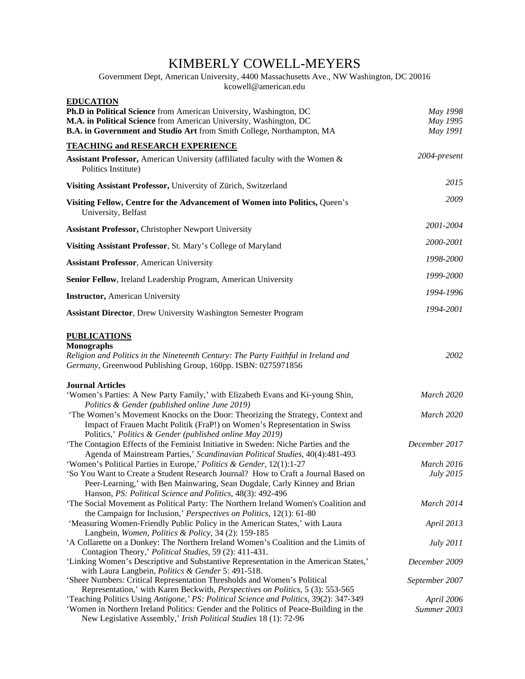# KIMBERLY COWELL-MEYERS

#### Government Dept, American University, 4400 Massachusetts Ave., NW Washington, DC 20016 [kcowell@a](mailto:kbcowell-meyers@osprey.smcm.edu)merican.edu

| <b>EDUCATION</b><br>Ph.D in Political Science from American University, Washington, DC<br>M.A. in Political Science from American University, Washington, DC<br>B.A. in Government and Studio Art from Smith College, Northampton, MA                                                                                      | May 1998<br>May 1995<br>May 1991 |
|----------------------------------------------------------------------------------------------------------------------------------------------------------------------------------------------------------------------------------------------------------------------------------------------------------------------------|----------------------------------|
| <b>TEACHING and RESEARCH EXPERIENCE</b>                                                                                                                                                                                                                                                                                    |                                  |
| Assistant Professor, American University (affiliated faculty with the Women &<br>Politics Institute)                                                                                                                                                                                                                       | 2004-present                     |
| Visiting Assistant Professor, University of Zürich, Switzerland                                                                                                                                                                                                                                                            | 2015                             |
| Visiting Fellow, Centre for the Advancement of Women into Politics, Queen's<br>University, Belfast                                                                                                                                                                                                                         | 2009                             |
| <b>Assistant Professor, Christopher Newport University</b>                                                                                                                                                                                                                                                                 | 2001-2004                        |
| Visiting Assistant Professor, St. Mary's College of Maryland                                                                                                                                                                                                                                                               | 2000-2001                        |
| <b>Assistant Professor, American University</b>                                                                                                                                                                                                                                                                            | 1998-2000                        |
| Senior Fellow, Ireland Leadership Program, American University                                                                                                                                                                                                                                                             | 1999-2000                        |
| <b>Instructor</b> , American University                                                                                                                                                                                                                                                                                    | 1994-1996                        |
| <b>Assistant Director, Drew University Washington Semester Program</b>                                                                                                                                                                                                                                                     | 1994-2001                        |
| <b>PUBLICATIONS</b>                                                                                                                                                                                                                                                                                                        |                                  |
| <b>Monographs</b><br>Religion and Politics in the Nineteenth Century: The Party Faithful in Ireland and<br>Germany, Greenwood Publishing Group, 160pp. ISBN: 0275971856                                                                                                                                                    | 2002                             |
| <b>Journal Articles</b><br>'Women's Parties: A New Party Family,' with Elizabeth Evans and Ki-young Shin,<br>Politics & Gender (published online June 2019)<br>'The Women's Movement Knocks on the Door: Theorizing the Strategy, Context and<br>Impact of Frauen Macht Politik (FraP!) on Women's Representation in Swiss | March 2020<br>March 2020         |
| Politics,' Politics & Gender (published online May 2019)<br>'The Contagion Effects of the Feminist Initiative in Sweden: Niche Parties and the<br>Agenda of Mainstream Parties,' Scandinavian Political Studies, 40(4):481-493                                                                                             | December 2017                    |
| 'Women's Political Parties in Europe,' Politics & Gender, 12(1):1-27                                                                                                                                                                                                                                                       | March 2016                       |
| 'So You Want to Create a Student Research Journal? How to Craft a Journal Based on<br>Peer-Learning,' with Ben Mainwaring, Sean Dugdale, Carly Kinney and Brian<br>Hanson, PS: Political Science and Politics, 48(3): 492-496                                                                                              | July 2015                        |
| 'The Social Movement as Political Party: The Northern Ireland Women's Coalition and<br>the Campaign for Inclusion,' Perspectives on Politics, 12(1): 61-80                                                                                                                                                                 | March 2014                       |
| 'Measuring Women-Friendly Public Policy in the American States,' with Laura<br>Langbein, Women, Politics & Policy, 34 (2): 159-185                                                                                                                                                                                         | April 2013                       |
| 'A Collarette on a Donkey: The Northern Ireland Women's Coalition and the Limits of<br>Contagion Theory,' Political Studies, 59 (2): 411-431.                                                                                                                                                                              | <i>July</i> 2011                 |
| 'Linking Women's Descriptive and Substantive Representation in the American States,'<br>with Laura Langbein, Politics & Gender 5: 491-518.                                                                                                                                                                                 | December 2009                    |
| 'Sheer Numbers: Critical Representation Thresholds and Women's Political<br>Representation,' with Karen Beckwith, Perspectives on Politics, 5 (3): 553-565                                                                                                                                                                 | September 2007                   |
| 'Teaching Politics Using Antigone,' PS: Political Science and Politics, 39(2): 347-349                                                                                                                                                                                                                                     | April 2006                       |
| 'Women in Northern Ireland Politics: Gender and the Politics of Peace-Building in the<br>New Legislative Assembly,' Irish Political Studies 18 (1): 72-96                                                                                                                                                                  | Summer 2003                      |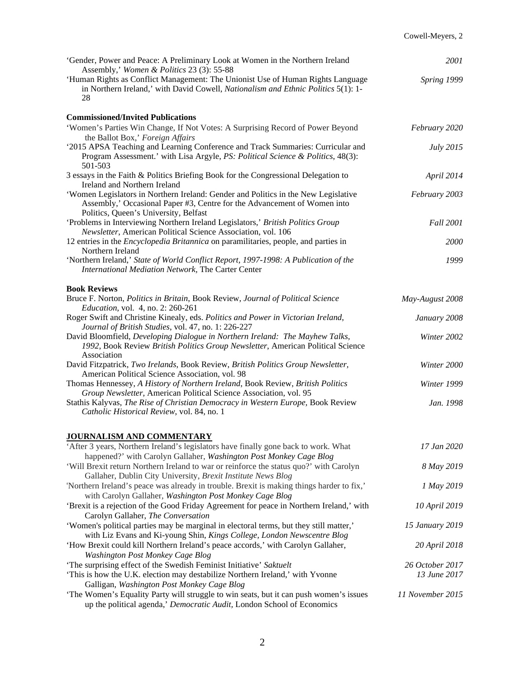| 'Gender, Power and Peace: A Preliminary Look at Women in the Northern Ireland<br>Assembly,' Women & Politics 23 (3): 55-88                                                                                        | 2001             |
|-------------------------------------------------------------------------------------------------------------------------------------------------------------------------------------------------------------------|------------------|
| 'Human Rights as Conflict Management: The Unionist Use of Human Rights Language<br>in Northern Ireland,' with David Cowell, Nationalism and Ethnic Politics 5(1): 1-<br>28                                        | Spring 1999      |
| <b>Commissioned/Invited Publications</b>                                                                                                                                                                          |                  |
| 'Women's Parties Win Change, If Not Votes: A Surprising Record of Power Beyond                                                                                                                                    | February 2020    |
| the Ballot Box,' Foreign Affairs<br>'2015 APSA Teaching and Learning Conference and Track Summaries: Curricular and<br>Program Assessment.' with Lisa Argyle, PS: Political Science & Politics, 48(3):<br>501-503 | July 2015        |
| 3 essays in the Faith & Politics Briefing Book for the Congressional Delegation to<br>Ireland and Northern Ireland                                                                                                | April 2014       |
| 'Women Legislators in Northern Ireland: Gender and Politics in the New Legislative<br>Assembly,' Occasional Paper #3, Centre for the Advancement of Women into<br>Politics, Queen's University, Belfast           | February 2003    |
| 'Problems in Interviewing Northern Ireland Legislators,' British Politics Group<br>Newsletter, American Political Science Association, vol. 106                                                                   | <b>Fall 2001</b> |
| 12 entries in the <i>Encyclopedia Britannica</i> on paramilitaries, people, and parties in<br>Northern Ireland                                                                                                    | 2000             |
| 'Northern Ireland,' State of World Conflict Report, 1997-1998: A Publication of the<br>International Mediation Network, The Carter Center                                                                         | 1999             |
| <b>Book Reviews</b>                                                                                                                                                                                               |                  |
| Bruce F. Norton, Politics in Britain, Book Review, Journal of Political Science<br><i>Education, vol. 4, no. 2: 260-261</i>                                                                                       | May-August 2008  |
| Roger Swift and Christine Kinealy, eds. Politics and Power in Victorian Ireland,<br>Journal of British Studies, vol. 47, no. 1: 226-227                                                                           | January 2008     |
| David Bloomfield, Developing Dialogue in Northern Ireland: The Mayhew Talks,<br>1992, Book Review British Politics Group Newsletter, American Political Science<br>Association                                    | Winter 2002      |
| David Fitzpatrick, Two Irelands, Book Review, British Politics Group Newsletter,<br>American Political Science Association, vol. 98                                                                               | Winter 2000      |
| Thomas Hennessey, A History of Northern Ireland, Book Review, British Politics<br>Group Newsletter, American Political Science Association, vol. 95                                                               | Winter 1999      |
| Stathis Kalyvas, The Rise of Christian Democracy in Western Europe, Book Review<br>Catholic Historical Review, vol. 84, no. 1                                                                                     | Jan. 1998        |
|                                                                                                                                                                                                                   |                  |
| <b>JOURNALISM AND COMMENTARY</b><br>'After 3 years, Northern Ireland's legislators have finally gone back to work. What                                                                                           | 17 Jan 2020      |
| happened?' with Carolyn Gallaher, Washington Post Monkey Cage Blog                                                                                                                                                |                  |
| 'Will Brexit return Northern Ireland to war or reinforce the status quo?' with Carolyn<br>Gallaher, Dublin City University, Brexit Institute News Blog                                                            | 8 May 2019       |
| 'Northern Ireland's peace was already in trouble. Brexit is making things harder to fix,'<br>with Carolyn Gallaher, Washington Post Monkey Cage Blog                                                              | 1 May 2019       |
| 'Brexit is a rejection of the Good Friday Agreement for peace in Northern Ireland,' with<br>Carolyn Gallaher, The Conversation                                                                                    | 10 April 2019    |
| 'Women's political parties may be marginal in electoral terms, but they still matter,'<br>with Liz Evans and Ki-young Shin, Kings College, London Newscentre Blog                                                 | 15 January 2019  |
| 'How Brexit could kill Northern Ireland's peace accords,' with Carolyn Gallaher,<br><b>Washington Post Monkey Cage Blog</b>                                                                                       | 20 April 2018    |
| 'The surprising effect of the Swedish Feminist Initiative' Saktuelt                                                                                                                                               | 26 October 2017  |
| 'This is how the U.K. election may destabilize Northern Ireland,' with Yvonne<br>Galligan, Washington Post Monkey Cage Blog                                                                                       | 13 June 2017     |
| 'The Women's Equality Party will struggle to win seats, but it can push women's issues<br>up the political agenda,' Democratic Audit, London School of Economics                                                  | 11 November 2015 |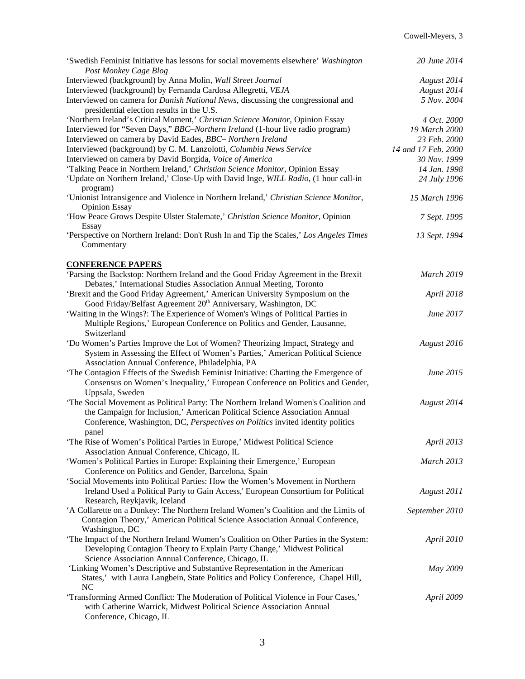| 'Swedish Feminist Initiative has lessons for social movements elsewhere' Washington<br>Post Monkey Cage Blog                                                    | 20 June 2014        |
|-----------------------------------------------------------------------------------------------------------------------------------------------------------------|---------------------|
| Interviewed (background) by Anna Molin, Wall Street Journal                                                                                                     | August 2014         |
| Interviewed (background) by Fernanda Cardosa Allegretti, VEJA                                                                                                   | August 2014         |
| Interviewed on camera for Danish National News, discussing the congressional and<br>presidential election results in the U.S.                                   | 5 Nov. 2004         |
| 'Northern Ireland's Critical Moment,' Christian Science Monitor, Opinion Essay                                                                                  | 4 Oct. 2000         |
| Interviewed for "Seven Days," BBC-Northern Ireland (1-hour live radio program)                                                                                  | 19 March 2000       |
| Interviewed on camera by David Eades, BBC- Northern Ireland                                                                                                     | 23 Feb. 2000        |
| Interviewed (background) by C. M. Lanzolotti, Columbia News Service                                                                                             | 14 and 17 Feb. 2000 |
| Interviewed on camera by David Borgida, Voice of America                                                                                                        | 30 Nov. 1999        |
| 'Talking Peace in Northern Ireland,' Christian Science Monitor, Opinion Essay                                                                                   | 14 Jan. 1998        |
| 'Update on Northern Ireland,' Close-Up with David Inge, WILL Radio, (1 hour call-in<br>program)                                                                 | 24 July 1996        |
| 'Unionist Intransigence and Violence in Northern Ireland,' Christian Science Monitor,<br><b>Opinion Essay</b>                                                   | 15 March 1996       |
| 'How Peace Grows Despite Ulster Stalemate,' Christian Science Monitor, Opinion<br>Essay                                                                         | 7 Sept. 1995        |
| 'Perspective on Northern Ireland: Don't Rush In and Tip the Scales,' Los Angeles Times<br>Commentary                                                            | 13 Sept. 1994       |
| <b>CONFERENCE PAPERS</b>                                                                                                                                        |                     |
| 'Parsing the Backstop: Northern Ireland and the Good Friday Agreement in the Brexit<br>Debates,' International Studies Association Annual Meeting, Toronto      | <b>March 2019</b>   |
| 'Brexit and the Good Friday Agreement,' American University Symposium on the<br>Good Friday/Belfast Agreement 20 <sup>th</sup> Anniversary, Washington, DC      | April 2018          |
| 'Waiting in the Wings?: The Experience of Women's Wings of Political Parties in                                                                                 | June 2017           |
| Multiple Regions,' European Conference on Politics and Gender, Lausanne,                                                                                        |                     |
| Switzerland                                                                                                                                                     |                     |
|                                                                                                                                                                 | August 2016         |
| 'Do Women's Parties Improve the Lot of Women? Theorizing Impact, Strategy and<br>System in Assessing the Effect of Women's Parties,' American Political Science |                     |
| Association Annual Conference, Philadelphia, PA                                                                                                                 |                     |
| 'The Contagion Effects of the Swedish Feminist Initiative: Charting the Emergence of                                                                            | June 2015           |
| Consensus on Women's Inequality,' European Conference on Politics and Gender,                                                                                   |                     |
| Uppsala, Sweden                                                                                                                                                 |                     |
| 'The Social Movement as Political Party: The Northern Ireland Women's Coalition and                                                                             | August 2014         |
| the Campaign for Inclusion,' American Political Science Association Annual                                                                                      |                     |
| Conference, Washington, DC, Perspectives on Politics invited identity politics                                                                                  |                     |
| panel                                                                                                                                                           |                     |
| 'The Rise of Women's Political Parties in Europe,' Midwest Political Science                                                                                    | April 2013          |
| Association Annual Conference, Chicago, IL                                                                                                                      |                     |
| 'Women's Political Parties in Europe: Explaining their Emergence,' European<br>Conference on Politics and Gender, Barcelona, Spain                              | <b>March 2013</b>   |
| 'Social Movements into Political Parties: How the Women's Movement in Northern                                                                                  |                     |
| Ireland Used a Political Party to Gain Access,' European Consortium for Political<br>Research, Reykjavik, Iceland                                               | August 2011         |
| 'A Collarette on a Donkey: The Northern Ireland Women's Coalition and the Limits of                                                                             | September 2010      |
| Contagion Theory,' American Political Science Association Annual Conference,<br>Washington, DC                                                                  |                     |
| 'The Impact of the Northern Ireland Women's Coalition on Other Parties in the System:                                                                           | April 2010          |
| Developing Contagion Theory to Explain Party Change,' Midwest Political<br>Science Association Annual Conference, Chicago, IL                                   |                     |
| 'Linking Women's Descriptive and Substantive Representation in the American                                                                                     |                     |
| States,' with Laura Langbein, State Politics and Policy Conference, Chapel Hill,<br>NC                                                                          | May 2009            |
| 'Transforming Armed Conflict: The Moderation of Political Violence in Four Cases,'                                                                              | April 2009          |
| with Catherine Warrick, Midwest Political Science Association Annual<br>Conference, Chicago, IL                                                                 |                     |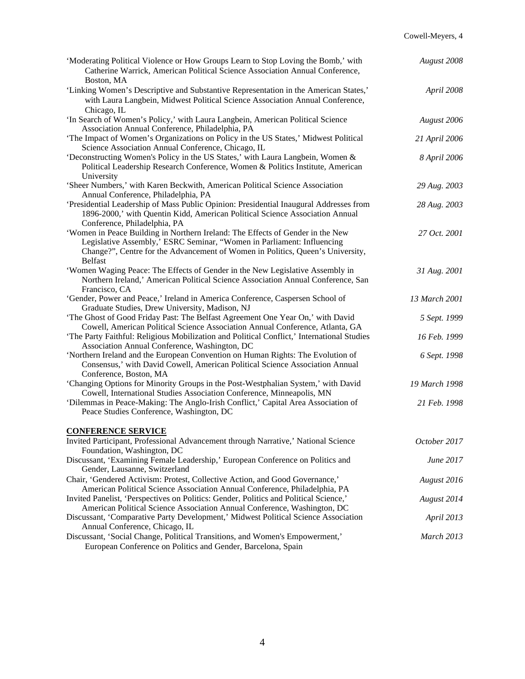| 'Moderating Political Violence or How Groups Learn to Stop Loving the Bomb,' with<br>Catherine Warrick, American Political Science Association Annual Conference,                                                                                            | August 2008       |
|--------------------------------------------------------------------------------------------------------------------------------------------------------------------------------------------------------------------------------------------------------------|-------------------|
| Boston, MA<br>'Linking Women's Descriptive and Substantive Representation in the American States,'<br>with Laura Langbein, Midwest Political Science Association Annual Conference,<br>Chicago, IL                                                           | April 2008        |
| 'In Search of Women's Policy,' with Laura Langbein, American Political Science<br>Association Annual Conference, Philadelphia, PA                                                                                                                            | August 2006       |
| 'The Impact of Women's Organizations on Policy in the US States,' Midwest Political<br>Science Association Annual Conference, Chicago, IL                                                                                                                    | 21 April 2006     |
| 'Deconstructing Women's Policy in the US States,' with Laura Langbein, Women &<br>Political Leadership Research Conference, Women & Politics Institute, American<br>University                                                                               | 8 April 2006      |
| 'Sheer Numbers,' with Karen Beckwith, American Political Science Association<br>Annual Conference, Philadelphia, PA                                                                                                                                          | 29 Aug. 2003      |
| 'Presidential Leadership of Mass Public Opinion: Presidential Inaugural Addresses from<br>1896-2000,' with Quentin Kidd, American Political Science Association Annual<br>Conference, Philadelphia, PA                                                       | 28 Aug. 2003      |
| 'Women in Peace Building in Northern Ireland: The Effects of Gender in the New<br>Legislative Assembly,' ESRC Seminar, "Women in Parliament: Influencing<br>Change?", Centre for the Advancement of Women in Politics, Queen's University,<br><b>Belfast</b> | 27 Oct. 2001      |
| 'Women Waging Peace: The Effects of Gender in the New Legislative Assembly in<br>Northern Ireland,' American Political Science Association Annual Conference, San<br>Francisco, CA                                                                           | 31 Aug. 2001      |
| 'Gender, Power and Peace,' Ireland in America Conference, Caspersen School of<br>Graduate Studies, Drew University, Madison, NJ                                                                                                                              | 13 March 2001     |
| 'The Ghost of Good Friday Past: The Belfast Agreement One Year On,' with David<br>Cowell, American Political Science Association Annual Conference, Atlanta, GA                                                                                              | 5 Sept. 1999      |
| 'The Party Faithful: Religious Mobilization and Political Conflict,' International Studies<br>Association Annual Conference, Washington, DC                                                                                                                  | 16 Feb. 1999      |
| 'Northern Ireland and the European Convention on Human Rights: The Evolution of<br>Consensus,' with David Cowell, American Political Science Association Annual<br>Conference, Boston, MA                                                                    | 6 Sept. 1998      |
| 'Changing Options for Minority Groups in the Post-Westphalian System,' with David<br>Cowell, International Studies Association Conference, Minneapolis, MN                                                                                                   | 19 March 1998     |
| 'Dilemmas in Peace-Making: The Anglo-Irish Conflict,' Capital Area Association of<br>Peace Studies Conference, Washington, DC                                                                                                                                | 21 Feb. 1998      |
| <b>CONFERENCE SERVICE</b>                                                                                                                                                                                                                                    |                   |
| Invited Participant, Professional Advancement through Narrative,' National Science<br>Foundation, Washington, DC                                                                                                                                             | October 2017      |
| Discussant, 'Examining Female Leadership,' European Conference on Politics and<br>Gender, Lausanne, Switzerland                                                                                                                                              | June 2017         |
| Chair, 'Gendered Activism: Protest, Collective Action, and Good Governance,'<br>American Political Science Association Annual Conference, Philadelphia, PA                                                                                                   | August 2016       |
| Invited Panelist, 'Perspectives on Politics: Gender, Politics and Political Science,'<br>American Political Science Association Annual Conference, Washington, DC                                                                                            | August 2014       |
| Discussant, 'Comparative Party Development,' Midwest Political Science Association                                                                                                                                                                           | April 2013        |
| Annual Conference, Chicago, IL<br>Discussant, 'Social Change, Political Transitions, and Women's Empowerment,'<br>European Conference on Politics and Gender, Barcelona, Spain                                                                               | <b>March 2013</b> |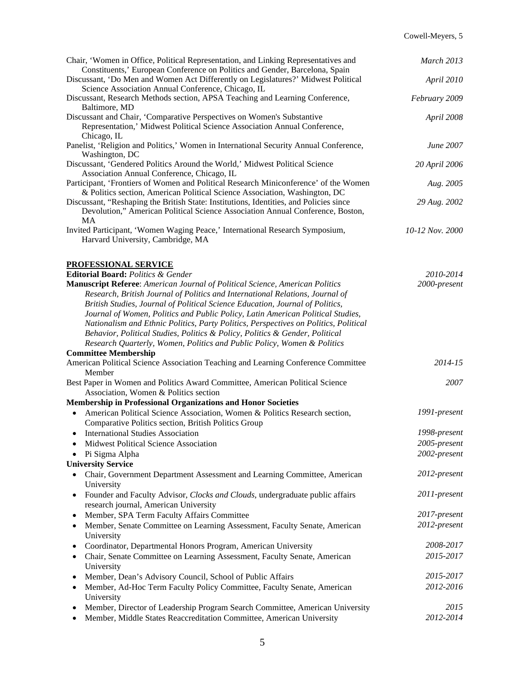| Chair, 'Women in Office, Political Representation, and Linking Representatives and<br>Constituents,' European Conference on Politics and Gender, Barcelona, Spain | March 2013      |
|-------------------------------------------------------------------------------------------------------------------------------------------------------------------|-----------------|
| Discussant, 'Do Men and Women Act Differently on Legislatures?' Midwest Political<br>Science Association Annual Conference, Chicago, IL                           | April 2010      |
| Discussant, Research Methods section, APSA Teaching and Learning Conference,<br>Baltimore, MD                                                                     | February 2009   |
| Discussant and Chair, 'Comparative Perspectives on Women's Substantive                                                                                            | April 2008      |
| Representation,' Midwest Political Science Association Annual Conference,                                                                                         |                 |
| Chicago, IL                                                                                                                                                       |                 |
| Panelist, 'Religion and Politics,' Women in International Security Annual Conference,<br>Washington, DC                                                           | June 2007       |
| Discussant, 'Gendered Politics Around the World,' Midwest Political Science                                                                                       | 20 April 2006   |
| Association Annual Conference, Chicago, IL<br>Participant, 'Frontiers of Women and Political Research Miniconference' of the Women                                |                 |
| & Politics section, American Political Science Association, Washington, DC                                                                                        | Aug. 2005       |
| Discussant, "Reshaping the British State: Institutions, Identities, and Policies since                                                                            | 29 Aug. 2002    |
| Devolution," American Political Science Association Annual Conference, Boston,<br><b>MA</b>                                                                       |                 |
| Invited Participant, 'Women Waging Peace,' International Research Symposium,                                                                                      | 10-12 Nov. 2000 |
| Harvard University, Cambridge, MA                                                                                                                                 |                 |
| PROFESSIONAL SERVICE                                                                                                                                              |                 |
| Editorial Board: Politics & Gender                                                                                                                                | 2010-2014       |
| Manuscript Referee: American Journal of Political Science, American Politics                                                                                      | 2000-present    |
| Research, British Journal of Politics and International Relations, Journal of                                                                                     |                 |
| British Studies, Journal of Political Science Education, Journal of Politics,                                                                                     |                 |
| Journal of Women, Politics and Public Policy, Latin American Political Studies,                                                                                   |                 |
| Nationalism and Ethnic Politics, Party Politics, Perspectives on Politics, Political                                                                              |                 |
| Behavior, Political Studies, Politics & Policy, Politics & Gender, Political                                                                                      |                 |
| Research Quarterly, Women, Politics and Public Policy, Women & Politics                                                                                           |                 |
| <b>Committee Membership</b>                                                                                                                                       |                 |
| American Political Science Association Teaching and Learning Conference Committee                                                                                 | 2014-15         |
| Member                                                                                                                                                            |                 |
| Best Paper in Women and Politics Award Committee, American Political Science                                                                                      | 2007            |
| Association, Women & Politics section                                                                                                                             |                 |
| <b>Membership in Professional Organizations and Honor Societies</b>                                                                                               |                 |
| American Political Science Association, Women & Politics Research section,<br>$\bullet$                                                                           | 1991-present    |
| Comparative Politics section, British Politics Group                                                                                                              |                 |
| <b>International Studies Association</b><br>$\bullet$                                                                                                             | 1998-present    |
| Midwest Political Science Association                                                                                                                             | 2005-present    |
| Pi Sigma Alpha                                                                                                                                                    | 2002-present    |
| <b>University Service</b>                                                                                                                                         |                 |
| Chair, Government Department Assessment and Learning Committee, American<br>$\bullet$<br>University                                                               | 2012-present    |
| Founder and Faculty Advisor, Clocks and Clouds, undergraduate public affairs<br>$\bullet$<br>research journal, American University                                | 2011-present    |
| Member, SPA Term Faculty Affairs Committee<br>$\bullet$                                                                                                           | 2017-present    |
| Member, Senate Committee on Learning Assessment, Faculty Senate, American<br>$\bullet$                                                                            | 2012-present    |
| University                                                                                                                                                        |                 |
| Coordinator, Departmental Honors Program, American University<br>$\bullet$                                                                                        | 2008-2017       |
| Chair, Senate Committee on Learning Assessment, Faculty Senate, American<br>$\bullet$                                                                             | 2015-2017       |
| University                                                                                                                                                        |                 |
| Member, Dean's Advisory Council, School of Public Affairs<br>$\bullet$                                                                                            | 2015-2017       |
| Member, Ad-Hoc Term Faculty Policy Committee, Faculty Senate, American<br>$\bullet$<br>University                                                                 | 2012-2016       |
| Member, Director of Leadership Program Search Committee, American University<br>$\bullet$                                                                         | 2015            |
| Member, Middle States Reaccreditation Committee, American University<br>$\bullet$                                                                                 | 2012-2014       |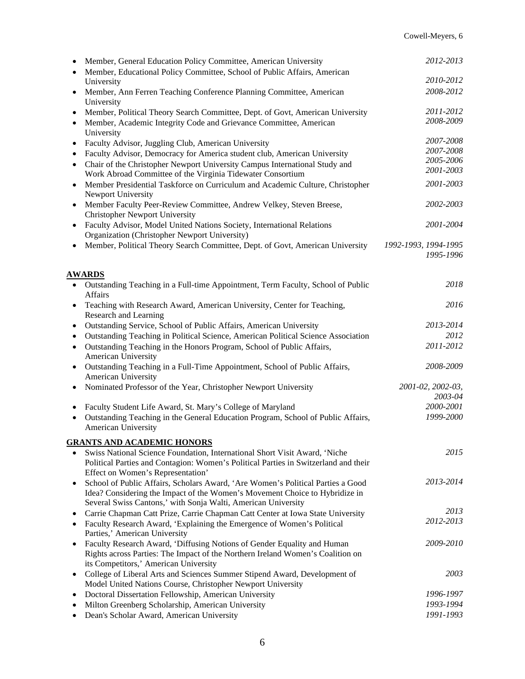| $\bullet$              | Member, General Education Policy Committee, American University<br>Member, Educational Policy Committee, School of Public Affairs, American                                                            | 2012-2013                    |
|------------------------|--------------------------------------------------------------------------------------------------------------------------------------------------------------------------------------------------------|------------------------------|
|                        | University                                                                                                                                                                                             | 2010-2012                    |
|                        | Member, Ann Ferren Teaching Conference Planning Committee, American                                                                                                                                    | 2008-2012                    |
|                        | University<br>Member, Political Theory Search Committee, Dept. of Govt, American University                                                                                                            | 2011-2012                    |
| $\bullet$<br>$\bullet$ | Member, Academic Integrity Code and Grievance Committee, American                                                                                                                                      | 2008-2009                    |
|                        | University                                                                                                                                                                                             |                              |
| $\bullet$              | Faculty Advisor, Juggling Club, American University                                                                                                                                                    | 2007-2008                    |
| $\bullet$              | Faculty Advisor, Democracy for America student club, American University                                                                                                                               | 2007-2008                    |
| $\bullet$              | Chair of the Christopher Newport University Campus International Study and                                                                                                                             | 2005-2006                    |
|                        | Work Abroad Committee of the Virginia Tidewater Consortium                                                                                                                                             | 2001-2003                    |
|                        | Member Presidential Taskforce on Curriculum and Academic Culture, Christopher<br>Newport University                                                                                                    | 2001-2003                    |
|                        | Member Faculty Peer-Review Committee, Andrew Velkey, Steven Breese,                                                                                                                                    | 2002-2003                    |
|                        | <b>Christopher Newport University</b>                                                                                                                                                                  |                              |
|                        | Faculty Advisor, Model United Nations Society, International Relations<br>Organization (Christopher Newport University)                                                                                | 2001-2004                    |
|                        | Member, Political Theory Search Committee, Dept. of Govt, American University                                                                                                                          | 1992-1993, 1994-1995         |
|                        |                                                                                                                                                                                                        | 1995-1996                    |
|                        |                                                                                                                                                                                                        |                              |
| <b>AWARDS</b>          |                                                                                                                                                                                                        | 2018                         |
|                        | Outstanding Teaching in a Full-time Appointment, Term Faculty, School of Public<br>Affairs                                                                                                             |                              |
|                        | Teaching with Research Award, American University, Center for Teaching,<br>Research and Learning                                                                                                       | 2016                         |
| $\bullet$              | Outstanding Service, School of Public Affairs, American University                                                                                                                                     | 2013-2014                    |
| $\bullet$              | Outstanding Teaching in Political Science, American Political Science Association                                                                                                                      | 2012                         |
| $\bullet$              | Outstanding Teaching in the Honors Program, School of Public Affairs,<br>American University                                                                                                           | 2011-2012                    |
|                        | Outstanding Teaching in a Full-Time Appointment, School of Public Affairs,<br>American University                                                                                                      | 2008-2009                    |
| $\bullet$              | Nominated Professor of the Year, Christopher Newport University                                                                                                                                        | 2001-02, 2002-03,<br>2003-04 |
|                        | Faculty Student Life Award, St. Mary's College of Maryland                                                                                                                                             | 2000-2001                    |
| $\bullet$              | Outstanding Teaching in the General Education Program, School of Public Affairs,<br>American University                                                                                                | 1999-2000                    |
|                        |                                                                                                                                                                                                        |                              |
|                        | <b>GRANTS AND ACADEMIC HONORS</b>                                                                                                                                                                      |                              |
| $\bullet$              | Swiss National Science Foundation, International Short Visit Award, 'Niche<br>Political Parties and Contagion: Women's Political Parties in Switzerland and their<br>Effect on Women's Representation' | 2015                         |
|                        | School of Public Affairs, Scholars Award, 'Are Women's Political Parties a Good                                                                                                                        | 2013-2014                    |
|                        | Idea? Considering the Impact of the Women's Movement Choice to Hybridize in<br>Several Swiss Cantons,' with Sonja Walti, American University                                                           |                              |
|                        | Carrie Chapman Catt Prize, Carrie Chapman Catt Center at Iowa State University                                                                                                                         | 2013                         |
| $\bullet$              | Faculty Research Award, 'Explaining the Emergence of Women's Political                                                                                                                                 | 2012-2013                    |
|                        | Parties,' American University                                                                                                                                                                          |                              |
|                        | Faculty Research Award, 'Diffusing Notions of Gender Equality and Human                                                                                                                                | 2009-2010                    |
|                        | Rights across Parties: The Impact of the Northern Ireland Women's Coalition on                                                                                                                         |                              |
|                        | its Competitors,' American University                                                                                                                                                                  | 2003                         |
|                        | College of Liberal Arts and Sciences Summer Stipend Award, Development of<br>Model United Nations Course, Christopher Newport University                                                               |                              |
|                        | Doctoral Dissertation Fellowship, American University                                                                                                                                                  | 1996-1997                    |
|                        |                                                                                                                                                                                                        | 1993-1994                    |
|                        | Milton Greenberg Scholarship, American University<br>Dean's Scholar Award, American University                                                                                                         | 1991-1993                    |
|                        |                                                                                                                                                                                                        |                              |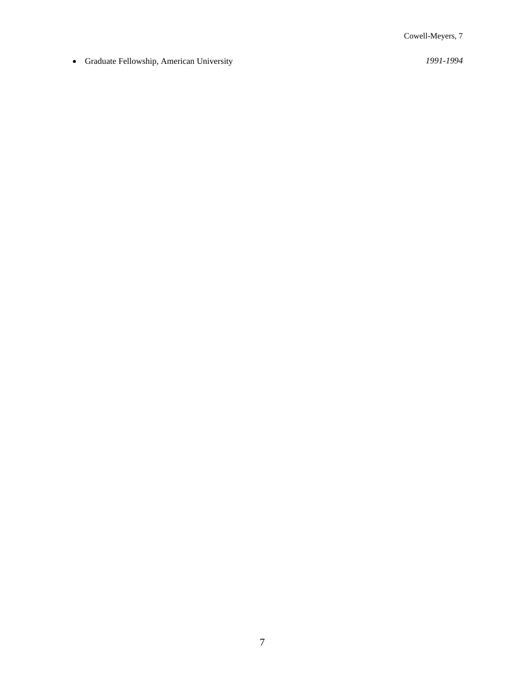• Graduate Fellowship, American University *1991-1994*